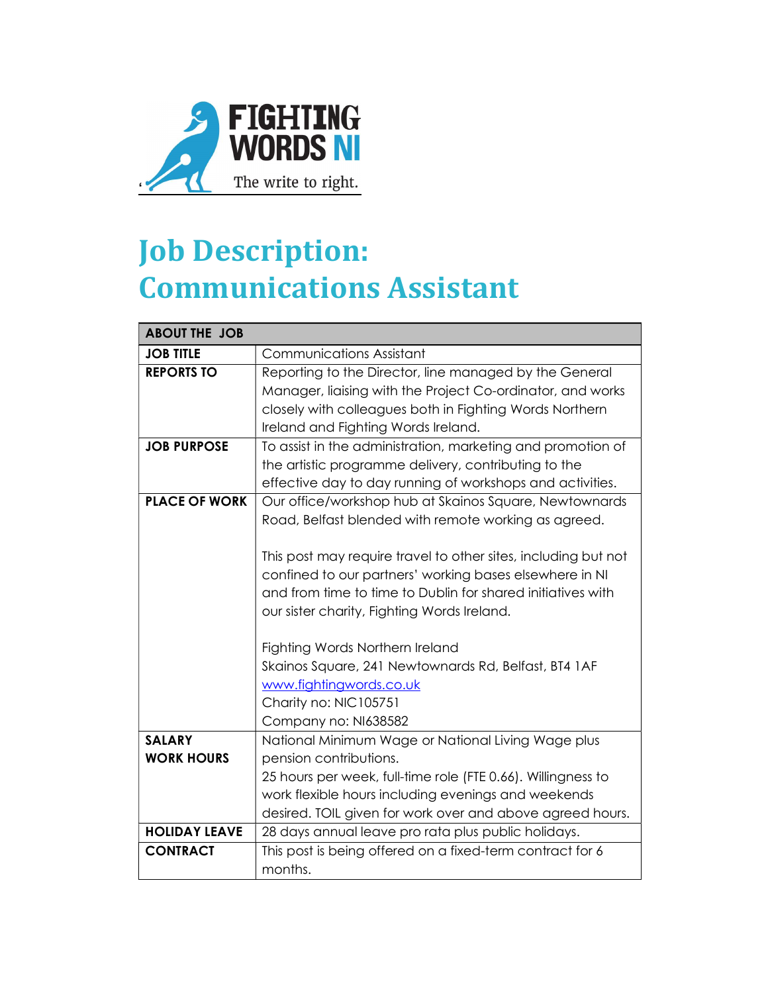

# Job Description: Communications Assistant

| <b>ABOUT THE JOB</b> |                                                                |
|----------------------|----------------------------------------------------------------|
| <b>JOB TITLE</b>     | <b>Communications Assistant</b>                                |
| <b>REPORTS TO</b>    | Reporting to the Director, line managed by the General         |
|                      | Manager, liaising with the Project Co-ordinator, and works     |
|                      | closely with colleagues both in Fighting Words Northern        |
|                      | Ireland and Fighting Words Ireland.                            |
| <b>JOB PURPOSE</b>   | To assist in the administration, marketing and promotion of    |
|                      | the artistic programme delivery, contributing to the           |
|                      | effective day to day running of workshops and activities.      |
| <b>PLACE OF WORK</b> | Our office/workshop hub at Skainos Square, Newtownards         |
|                      | Road, Belfast blended with remote working as agreed.           |
|                      |                                                                |
|                      | This post may require travel to other sites, including but not |
|                      | confined to our partners' working bases elsewhere in NI        |
|                      | and from time to time to Dublin for shared initiatives with    |
|                      | our sister charity, Fighting Words Ireland.                    |
|                      |                                                                |
|                      | Fighting Words Northern Ireland                                |
|                      | Skainos Square, 241 Newtownards Rd, Belfast, BT4 1AF           |
|                      | www.fightingwords.co.uk                                        |
|                      | Charity no: NIC105751                                          |
|                      | Company no: NI638582                                           |
| <b>SALARY</b>        | National Minimum Wage or National Living Wage plus             |
| <b>WORK HOURS</b>    | pension contributions.                                         |
|                      | 25 hours per week, full-time role (FTE 0.66). Willingness to   |
|                      | work flexible hours including evenings and weekends            |
|                      | desired. TOIL given for work over and above agreed hours.      |
| <b>HOLIDAY LEAVE</b> | 28 days annual leave pro rata plus public holidays.            |
| <b>CONTRACT</b>      | This post is being offered on a fixed-term contract for 6      |
|                      | months.                                                        |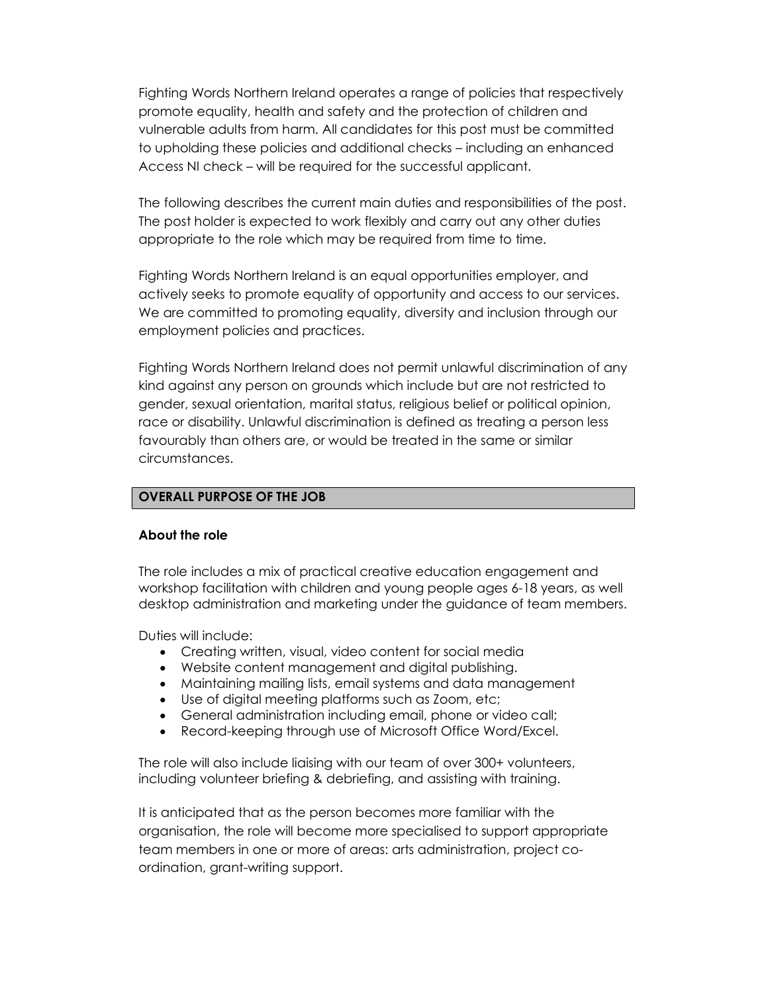Fighting Words Northern Ireland operates a range of policies that respectively promote equality, health and safety and the protection of children and vulnerable adults from harm. All candidates for this post must be committed to upholding these policies and additional checks – including an enhanced Access NI check – will be required for the successful applicant.

The following describes the current main duties and responsibilities of the post. The post holder is expected to work flexibly and carry out any other duties appropriate to the role which may be required from time to time.

Fighting Words Northern Ireland is an equal opportunities employer, and actively seeks to promote equality of opportunity and access to our services. We are committed to promoting equality, diversity and inclusion through our employment policies and practices.

Fighting Words Northern Ireland does not permit unlawful discrimination of any kind against any person on grounds which include but are not restricted to gender, sexual orientation, marital status, religious belief or political opinion, race or disability. Unlawful discrimination is defined as treating a person less favourably than others are, or would be treated in the same or similar circumstances.

#### OVERALL PURPOSE OF THE JOB

#### About the role

The role includes a mix of practical creative education engagement and workshop facilitation with children and young people ages 6-18 years, as well desktop administration and marketing under the guidance of team members.

Duties will include:

- Creating written, visual, video content for social media
- Website content management and digital publishing.
- Maintaining mailing lists, email systems and data management
- Use of digital meeting platforms such as Zoom, etc;
- General administration including email, phone or video call;
- Record-keeping through use of Microsoft Office Word/Excel.

The role will also include liaising with our team of over 300+ volunteers, including volunteer briefing & debriefing, and assisting with training.

It is anticipated that as the person becomes more familiar with the organisation, the role will become more specialised to support appropriate team members in one or more of areas: arts administration, project coordination, grant-writing support.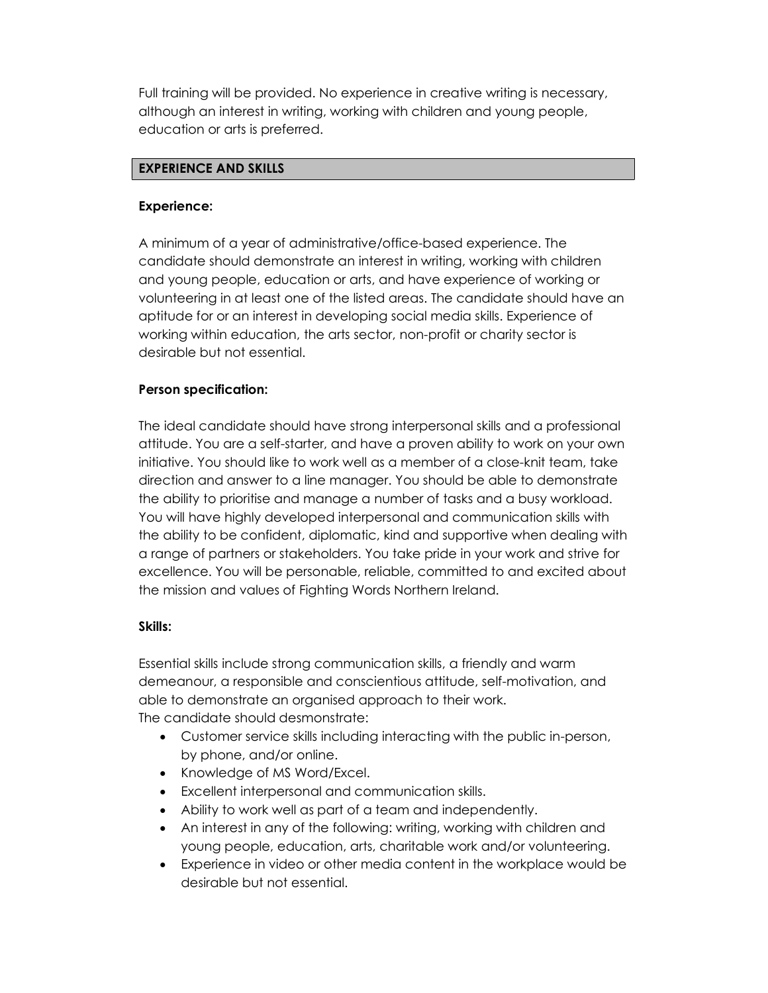Full training will be provided. No experience in creative writing is necessary, although an interest in writing, working with children and young people, education or arts is preferred.

### EXPERIENCE AND SKILLS

### Experience:

A minimum of a year of administrative/office-based experience. The candidate should demonstrate an interest in writing, working with children and young people, education or arts, and have experience of working or volunteering in at least one of the listed areas. The candidate should have an aptitude for or an interest in developing social media skills. Experience of working within education, the arts sector, non-profit or charity sector is desirable but not essential.

## Person specification:

The ideal candidate should have strong interpersonal skills and a professional attitude. You are a self-starter, and have a proven ability to work on your own initiative. You should like to work well as a member of a close-knit team, take direction and answer to a line manager. You should be able to demonstrate the ability to prioritise and manage a number of tasks and a busy workload. You will have highly developed interpersonal and communication skills with the ability to be confident, diplomatic, kind and supportive when dealing with a range of partners or stakeholders. You take pride in your work and strive for excellence. You will be personable, reliable, committed to and excited about the mission and values of Fighting Words Northern Ireland.

### Skills:

Essential skills include strong communication skills, a friendly and warm demeanour, a responsible and conscientious attitude, self-motivation, and able to demonstrate an organised approach to their work. The candidate should desmonstrate:

- Customer service skills including interacting with the public in-person, by phone, and/or online.
- Knowledge of MS Word/Excel.
- Excellent interpersonal and communication skills.
- Ability to work well as part of a team and independently.
- An interest in any of the following: writing, working with children and young people, education, arts, charitable work and/or volunteering.
- Experience in video or other media content in the workplace would be desirable but not essential.